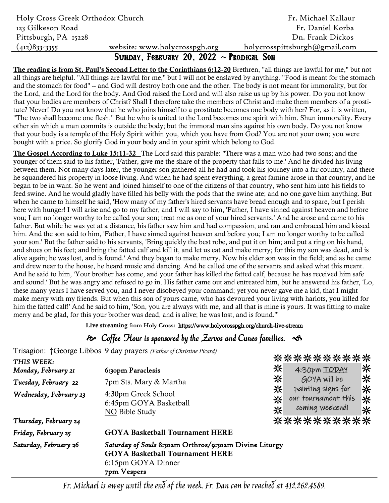Holy Cross Greek Orthodox Church Fr. Michael Kallaur 123 Gilkeson Road Fr. Daniel Korba Pittsburgh, PA 15228<br>
(412)833-3355 website: www.holycrosspgh.org holycrosspittsburgh@gmail.com website: www.holycrosspgh.org holycrosspittsburgh@gmail.com

### Sunday, February 20, 2022 **~** Prodigal Son

**The reading is from St. Paul's Second Letter to the Corinthians 6:12-20** Brethren, "all things are lawful for me," but not all things are helpful. "All things are lawful for me," but I will not be enslaved by anything. "Food is meant for the stomach and the stomach for food" -- and God will destroy both one and the other. The body is not meant for immorality, but for the Lord, and the Lord for the body. And God raised the Lord and will also raise us up by his power. Do you not know that your bodies are members of Christ? Shall I therefore take the members of Christ and make them members of a prostitute? Never! Do you not know that he who joins himself to a prostitute becomes one body with her? For, as it is written, "The two shall become one flesh." But he who is united to the Lord becomes one spirit with him. Shun immorality. Every other sin which a man commits is outside the body; but the immoral man sins against his own body. Do you not know that your body is a temple of the Holy Spirit within you, which you have from God? You are not your own; you were bought with a price. So glorify God in your body and in your spirit which belong to God.

**The Gospel According to Luke 15:11-32** The Lord said this parable: "There was a man who had two sons; and the younger of them said to his father, 'Father, give me the share of the property that falls to me.' And he divided his living between them. Not many days later, the younger son gathered all he had and took his journey into a far country, and there he squandered his property in loose living. And when he had spent everything, a great famine arose in that country, and he began to be in want. So he went and joined himself to one of the citizens of that country, who sent him into his fields to feed swine. And he would gladly have filled his belly with the pods that the swine ate; and no one gave him anything. But when he came to himself he said, 'How many of my father's hired servants have bread enough and to spare, but I perish here with hunger! I will arise and go to my father, and I will say to him, 'Father, I have sinned against heaven and before you; I am no longer worthy to be called your son; treat me as one of your hired servants.' And he arose and came to his father. But while he was yet at a distance, his father saw him and had compassion, and ran and embraced him and kissed him. And the son said to him, 'Father, I have sinned against heaven and before you; I am no longer worthy to be called your son.' But the father said to his servants, 'Bring quickly the best robe, and put it on him; and put a ring on his hand, and shoes on his feet; and bring the fatted calf and kill it, and let us eat and make merry; for this my son was dead, and is alive again; he was lost, and is found.' And they began to make merry. Now his elder son was in the field; and as he came and drew near to the house, he heard music and dancing. And he called one of the servants and asked what this meant. And he said to him, 'Your brother has come, and your father has killed the fatted calf, because he has received him safe and sound.' But he was angry and refused to go in. His father came out and entreated him, but he answered his father, 'Lo, these many years I have served you, and I never disobeyed your command; yet you never gave me a kid, that I might make merry with my friends. But when this son of yours came, who has devoured your living with harlots, you killed for him the fatted calf!' And he said to him, 'Son, you are always with me, and all that is mine is yours. It was fitting to make merry and be glad, for this your brother was dead, and is alive; he was lost, and is found.'"

**Live streaming from Holy Cross:** https://www.holycrosspgh.org/church-live-stream

#### $\hat{\infty}$  Coffee Hour is sponsored by the Zervos and Cuneo families.  $\leq$

والجروالج والجروالج والجروالج والجروالج والجروالة

Trisagion: †George Libbos 9 day prayers *(Father of Christine Picard)*

| THIS WEEK:             |                                                                                                                                       |             | **********                                                   |             |
|------------------------|---------------------------------------------------------------------------------------------------------------------------------------|-------------|--------------------------------------------------------------|-------------|
| Monday, February 21    | 6:30pm Paraclesis                                                                                                                     | ⋇           | 4:30pm TODAY                                                 | 米           |
| Tuesday, February 22   | 7pm Sts. Mary & Martha                                                                                                                | ⋇           | GOYA will be                                                 | 米           |
| Wednesday, February 23 | 4:30pm Greek School<br>6:45pm GOYA Basketball<br>NO Bible Study                                                                       | 米<br>米<br>⋇ | painting signs for<br>our tournament this<br>coming weekend! | 米<br>米<br>米 |
| Thursday, February 24  |                                                                                                                                       |             | **********                                                   |             |
| Friday, February 25    | <b>GOYA Basketball Tournament HERE</b>                                                                                                |             |                                                              |             |
| Saturday, February 26  | Saturday of Souls 8:30am Orthros/9:30am Divine Liturgy<br><b>GOYA Basketball Tournament HERE</b><br>6:15pm GOYA Dinner<br>7pm Vespers |             |                                                              |             |

Fr. Michael is away until the end of the week. Fr. Dan can be reached at 412.262.4589.